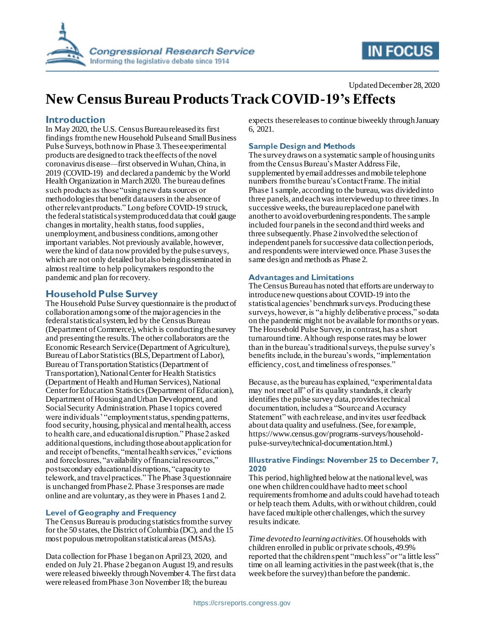

# **IN FOCUS**

#### Updated December 28, 2020

# **New Census Bureau Products Track COVID-19's Effects**

## **Introduction**

In May 2020, the U.S. Census Bureau released its first findings from the new Household Pulse and Small Business Pulse Surveys, both now in Phase 3. These experimental products are designed to track the effects of the novel coronavirus disease—first observed in Wuhan, China, in 2019 (COVID-19) and declared a pandemic by the World Health Organization in March 2020. The bureau defines such products as those "using new data sources or methodologies that benefit data users in the absence of other relevant products." Long before COVID-19 struck, the federal statistical system produced data that could gauge changes in mortality, health status, food supplies, unemployment, and business conditions, among other important variables. Not previously available, however, were the kind of data now provided by the pulse surveys, which are not only detailed but also being disseminated in almost real time to help policymakers respond to the pandemic and plan for recovery.

# **Household Pulse Survey**

The Household Pulse Survey questionnaire is the product of collaboration among some of the major agencies in the federal statistical system, led by the Census Bureau (Department of Commerce), which is conducting the survey and presenting the results. The other collaborators are the Economic Research Service (Department of Agriculture), Bureau of Labor Statistics (BLS, Department of Labor), Bureau of Transportation Statistics (Department of Transportation), National Center for Health Statistics (Department of Health and Human Services), National Center for Education Statistics (Department of Education), Department of Housing and Urban Development, and Social Security Administration. Phase 1 topics covered were individuals' "employment status, spending patterns, food security, housing, physical and mental health, access to health care, and educational disruption." Phase 2 asked additional questions, including those about application for and receipt of benefits, "mental health services," evictions and foreclosures, "availability of financial resources," postsecondary educational disruptions, "capacity to telework, and travel practices." The Phase 3 questionnaire is unchanged from Phase 2. Phase 3 responses are made online and are voluntary, as they were in Phases 1 and 2.

#### **Level of Geography and Frequency**

The Census Bureau is producing statistics from the survey for the 50 states, the District of Columbia (DC), and the 15 most populous metropolitan statistical areas (MSAs).

Data collection for Phase 1 began on April 23, 2020, and ended on July 21. Phase 2 began on August 19, and results were released biweekly through November 4. The first data were released from Phase 3 on November 18; the bureau

expects these releases to continue biweekly through January 6, 2021.

## **Sample Design and Methods**

The survey draws on a systematic sample of housing units from the Census Bureau's Master Address File, supplemented by email addresses and mobile telephone numbers from the bureau's Contact Frame. The initial Phase 1 sample, according to the bureau, was divided into three panels, and each was interviewed up to three times. In successive weeks, the bureau replaced one panel with another to avoid overburdening respondents. The sample included four panels in the second and third weeks and three subsequently. Phase 2 involved the selection of independent panels for successive data collection periods, and respondents were interviewed once. Phase 3 uses the same design and methods as Phase 2.

#### **Advantages and Limitations**

The Census Bureau has noted that efforts are underway to introduce new questions about COVID-19 into the statistical agencies' benchmark surveys. Producing these surveys, however, is "a highly deliberative process," so data on the pandemic might not be available for months or years. The Household Pulse Survey, in contrast, has a short turnaround time. Although response rates may be lower than in the bureau's traditional surveys, the pulse survey's benefits include, in the bureau's words, "implementation efficiency, cost, and timeliness of responses."

Because, as the bureau has explained, "experimental data may not meet all" of its quality standards, it clearly identifies the pulse survey data, provides technical documentation, includes a "Source and Accuracy Statement" with each release, and invites user feedback about data quality and usefulness. (See, for example, https://www.census.gov/programs-surveys/householdpulse-survey/technical-documentation.html.)

#### **Illustrative Findings: November 25 to December 7, 2020**

This period, highlighted below at the national level, was one when children could have had to meet school requirements from home and adults could have had to teach or help teach them. Adults, with or without children, could have faced multiple other challenges, which the survey results indicate.

*Time devoted to learning activities*. Of households with children enrolled in public or private schools, 49.9% reported that the children spent "much less" or "a little less" time on all learning activities in the past week (that is, the week before the survey) than before the pandemic.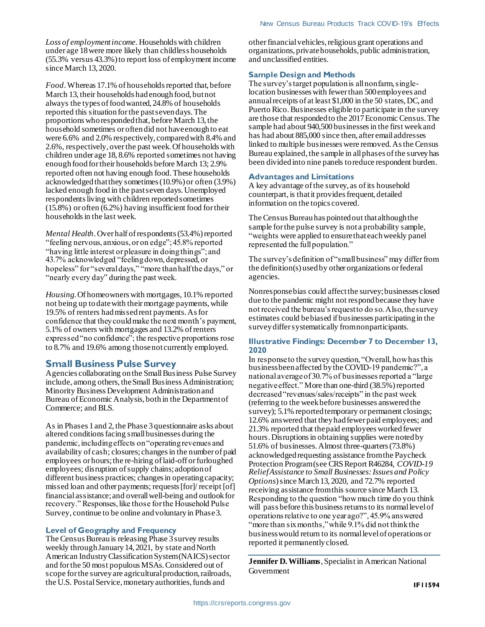*Loss of employment income.* Households with children under age 18 were more likely than childless households (55.3% versus 43.3%) to report loss of employment income since March 13, 2020.

*Food*. Whereas 17.1% of households reported that, before March 13, their households had enough food, but not always the types of food wanted, 24.8% of households reported this situation for the past seven days. The proportions who responded that, before March 13, the household sometimes or often did not have enough to eat were 6.6% and 2.0% respectively, compared with 8.4% and 2.6%, respectively, over the past week. Of households with children under age 18, 8.6% reported sometimes not having enough food for their households before March 13; 2.9% reported often not having enough food. These households acknowledged that they sometimes (10.9%) or often (3.9%) lacked enough food in the past seven days. Unemployed respondents living with children reported sometimes (15.8%) or often (6.2%) having insufficient food for their households in the last week.

*Mental Health*. Over half of respondents (53.4%) reported "feeling nervous, anxious, or on edge"; 45.8% reported "having little interest or pleasure in doing things"; and 43.7% acknowledged "feeling down, depressed, or hopeless" for "several days," "more than half the days," or "nearly every day" during the past week.

*Housing*. Of homeowners with mortgages, 10.1% reported not being up to date with their mortgage payments, while 19.5% of renters had missed rent payments. As for confidence that they could make the next month's payment, 5.1% of owners with mortgages and 13.2% of renters expressed "no confidence"; the respective proportions rose to 8.7% and 19.6% among those not currently employed.

### **Small Business Pulse Survey**

Agencies collaborating on the Small Business Pulse Survey include, among others, the Small Business Administration; Minority Business Development Administration and Bureau of Economic Analysis, both in the Department of Commerce; and BLS.

As in Phases 1 and 2, the Phase 3 questionnaire asks about altered conditions facing small businesses during the pandemic, including effects on "operating revenues and availability of cash; closures; changes in the number of paid employees or hours; the re-hiring of laid-off or furloughed employees; disruption of supply chains; adoption of different business practices; changes in operating capacity; missed loan and other payments; requests [for]/ receipt [of] financial assistance; and overall well-being and outlook for recovery." Responses, like those for the Household Pulse Survey, continue to be online and voluntary in Phase 3.

#### **Level of Geography and Frequency**

The Census Bureau is releasing Phase 3 survey results weekly through January 14, 2021, by state and North American Industry Classification System (NAICS) sector and for the 50 most populous MSAs. Considered out of scope for the survey are agricultural production, railroads, the U.S. Postal Service, monetary authorities, funds and

other financial vehicles, religious grant operations and organizations, private households, public administration, and unclassified entities.

#### **Sample Design and Methods**

The survey's target population is all nonfarm, singlelocation businesses with fewer than 500 employees and annual receipts of at least \$1,000 in the 50 states, DC, and Puerto Rico. Businesses eligible to participate in the survey are those that responded to the 2017 Economic Census. The sample had about 940,500 businesses in the first week and has had about 885,000 since then, after email addresses linked to multiple businesses were removed. As the Census Bureau explained, the sample in all phases of the survey has been divided into nine panels to reduce respondent burden.

#### **Advantages and Limitations**

A key advantage of the survey, as of its household counterpart, is that it provides frequent, detailed information on the topics covered.

The Census Bureau has pointed out that although the sample for the pulse survey is not a probability sample, "weights were applied to ensure that each weekly panel represented the full population."

The survey's definition of "small business" may differ from the definition(s) used by other organizations or federal agencies.

Nonresponse bias could affect the survey; businesses closed due to the pandemic might not respond because they have not received the bureau's request to do so. Also, the survey estimates could be biased if businesses participating in the survey differ systematically from nonparticipants.

#### **Illustrative Findings: December 7 to December 13, 2020**

In response to the survey question, "Overall, how has this business been affected by the COVID-19 pandemic?", a national average of 30.7% of businesses reported a "large negative effect." More than one-third (38.5%) reported decreased "revenues/sales/receipts" in the past week (referring to the week before businesses answered the survey); 5.1% reported temporary or permanent closings; 12.6% answered that they had fewer paid employees; and 21.3% reported that the paid employees worked fewer hours. Disruptions in obtaining supplies were noted by 51.6% of businesses. Almost three-quarters (73.8%) acknowledged requesting assistance from the Paycheck Protection Program (see CRS Report R46284, *COVID-19 Relief Assistance to Small Businesses: Issues and Policy Options*) since March 13, 2020, and 72.7% reported receiving assistance from this source since March 13. Responding to the question "how much time do you think will pass before this business returns to its normal level of operations relative to one year ago?", 45.9% answered "more than six months," while 9.1% did not think the business would return to its normal level of operations or reported it permanently closed.

**Jennifer D. Williams**, Specialist in American National Government